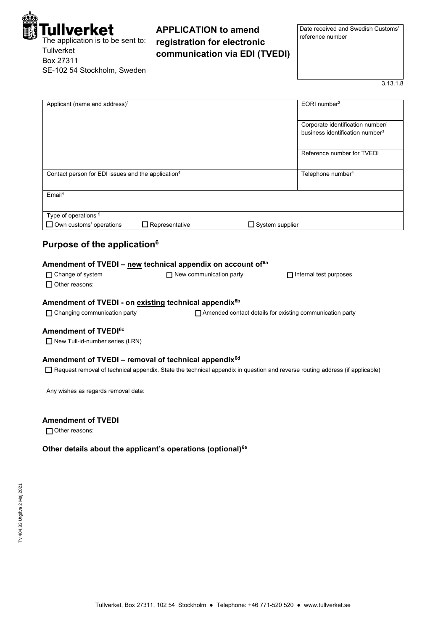| Tullverket<br>The application is to be sent to:<br>Tullverket<br>Box 27311<br>SE-102 54 Stockholm, Sweden | <b>APPLICATION to amend</b><br>registration for electronic<br>communication via EDI (TVEDI)                                 | Date received and Swedish Customs'<br>reference number                          |
|-----------------------------------------------------------------------------------------------------------|-----------------------------------------------------------------------------------------------------------------------------|---------------------------------------------------------------------------------|
|                                                                                                           |                                                                                                                             | 3.13.1.8                                                                        |
| Applicant (name and address) <sup>1</sup>                                                                 |                                                                                                                             | EORI number <sup>2</sup>                                                        |
|                                                                                                           |                                                                                                                             | Corporate identification number/<br>business identification number <sup>3</sup> |
|                                                                                                           |                                                                                                                             | Reference number for TVEDI                                                      |
| Contact person for EDI issues and the application <sup>4</sup>                                            |                                                                                                                             | Telephone number <sup>4</sup>                                                   |
| $E$ mail <sup>4</sup>                                                                                     |                                                                                                                             |                                                                                 |
| Type of operations <sup>5</sup><br>$\Box$ Own customs' operations                                         | $\Box$ Representative<br>$\Box$ System supplier                                                                             |                                                                                 |
| Purpose of the application <sup>6</sup><br>□ Change of system<br>$\Box$ Other reasons:                    | Amendment of TVEDI – new technical appendix on account of <sup>6a</sup><br>$\Box$ New communication party                   | $\Box$ Internal test purposes                                                   |
| Amendment of TVEDI - on existing technical appendix <sup>6b</sup><br>□ Changing communication party       | □ Amended contact details for existing communication party                                                                  |                                                                                 |
| Amendment of TVEDI <sup>6c</sup>                                                                          |                                                                                                                             |                                                                                 |
| New Tull-id-number series (LRN)                                                                           |                                                                                                                             |                                                                                 |
| Amendment of TVEDI - removal of technical appendix <sup>6d</sup>                                          | Request removal of technical appendix. State the technical appendix in question and reverse routing address (if applicable) |                                                                                 |

**Amendment of TVEDI**

□ Other reasons:

**Other details about the applicant's operations (optional)6e**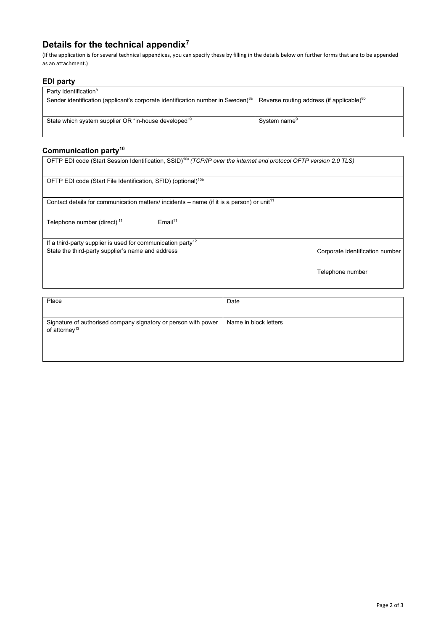# **Details for the technical appendix<sup>7</sup>**

(If the application is for several technical appendices, you can specify these by filling in the details below on further forms that are to be appended as an attachment.)

## **EDI party**

| Party identification <sup>8</sup>                                                           |                                                       |
|---------------------------------------------------------------------------------------------|-------------------------------------------------------|
| Sender identification (applicant's corporate identification number in Sweden) <sup>8a</sup> | Reverse routing address (if applicable) <sup>8b</sup> |
|                                                                                             |                                                       |
| State which system supplier OR "in-house developed" <sup>9</sup>                            | System name <sup>9</sup>                              |
|                                                                                             |                                                       |

## **Communication party<sup>10</sup>**

| OFTP EDI code (Start Session Identification, SSID) <sup>10a</sup> (TCP/IP over the internet and protocol OFTP version 2.0 TLS) |                                 |  |
|--------------------------------------------------------------------------------------------------------------------------------|---------------------------------|--|
| OFTP EDI code (Start File Identification, SFID) (optional) <sup>10b</sup>                                                      |                                 |  |
| Contact details for communication matters/incidents – name (if it is a person) or unit <sup>11</sup>                           |                                 |  |
| $E$ mail <sup>11</sup><br>Telephone number (direct) <sup>11</sup>                                                              |                                 |  |
| If a third-party supplier is used for communication party <sup>12</sup>                                                        |                                 |  |
| State the third-party supplier's name and address                                                                              | Corporate identification number |  |
|                                                                                                                                | Telephone number                |  |
|                                                                                                                                |                                 |  |
| Place                                                                                                                          | Date                            |  |

| Place                                                                                       | Date                  |
|---------------------------------------------------------------------------------------------|-----------------------|
| Signature of authorised company signatory or person with power<br>of attorney <sup>13</sup> | Name in block letters |